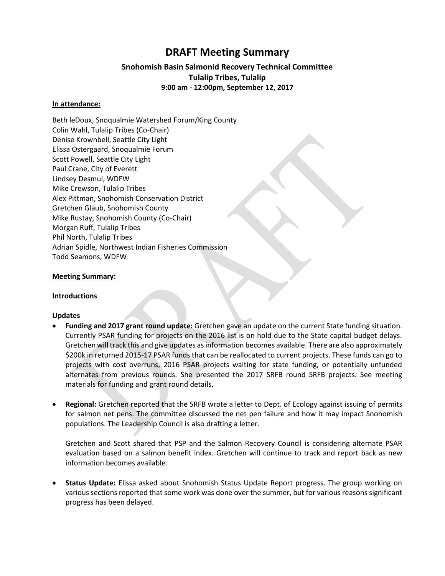# **DRAFT Meeting Summary**

# **Snohomish Basin Salmonid Recovery Technical Committee Tulalip Tribes, Tulalip 9:00 am - 12:00pm, September 12, 2017**

#### **In attendance:**

Beth leDoux, Snoqualmie Watershed Forum/King County Colin Wahl, Tulalip Tribes (Co-Chair) Denise Krownbell, Seattle City Light Elissa Ostergaard, Snoqualmie Forum Scott Powell, Seattle City Light Paul Crane, City of Everett Lindsey Desmul, WDFW Mike Crewson, Tulalip Tribes Alex Pittman, Snohomish Conservation District Gretchen Glaub, Snohomish County Mike Rustay, Snohomish County (Co-Chair) Morgan Ruff, Tulalip Tribes Phil North, Tulalip Tribes Adrian Spidle, Northwest Indian Fisheries Commission Todd Seamons, WDFW

#### **Meeting Summary:**

#### **Introductions**

#### **Updates**

- **Funding and 2017 grant round update:** Gretchen gave an update on the current State funding situation. Currently PSAR funding for projects on the 2016 list is on hold due to the State capital budget delays. Gretchen will track this and give updates as information becomes available. There are also approximately \$200k in returned 2015-17 PSAR funds that can be reallocated to current projects. These funds can go to projects with cost overruns, 2016 PSAR projects waiting for state funding, or potentially unfunded alternates from previous rounds. She presented the 2017 SRFB round SRFB projects. See meeting materials for funding and grant round details.
- **Regional:** Gretchen reported that the SRFB wrote a letter to Dept. of Ecology against issuing of permits for salmon net pens. The committee discussed the net pen failure and how it may impact Snohomish populations. The Leadership Council is also drafting a letter.

Gretchen and Scott shared that PSP and the Salmon Recovery Council is considering alternate PSAR evaluation based on a salmon benefit index. Gretchen will continue to track and report back as new information becomes available.

 **Status Update:** Elissa asked about Snohomish Status Update Report progress. The group working on various sections reported that some work was done over the summer, but for various reasons significant progress has been delayed.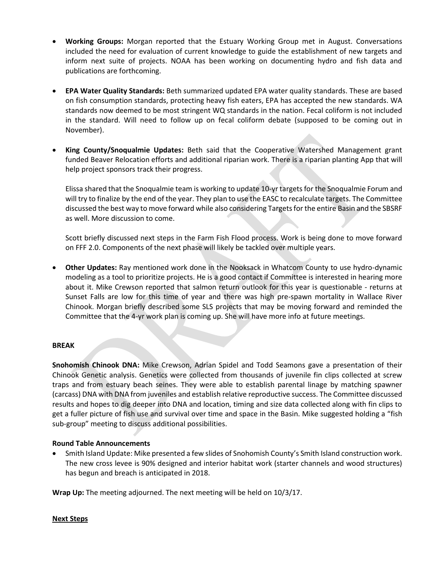- **Working Groups:** Morgan reported that the Estuary Working Group met in August. Conversations included the need for evaluation of current knowledge to guide the establishment of new targets and inform next suite of projects. NOAA has been working on documenting hydro and fish data and publications are forthcoming.
- **EPA Water Quality Standards:** Beth summarized updated EPA water quality standards. These are based on fish consumption standards, protecting heavy fish eaters, EPA has accepted the new standards. WA standards now deemed to be most stringent WQ standards in the nation. Fecal coliform is not included in the standard. Will need to follow up on fecal coliform debate (supposed to be coming out in November).
- **King County/Snoqualmie Updates:** Beth said that the Cooperative Watershed Management grant funded Beaver Relocation efforts and additional riparian work. There is a riparian planting App that will help project sponsors track their progress.

Elissa shared that the Snoqualmie team is working to update 10-yr targets for the Snoqualmie Forum and will try to finalize by the end of the year. They plan to use the EASC to recalculate targets. The Committee discussed the best way to move forward while also considering Targets for the entire Basin and the SBSRF as well. More discussion to come.

Scott briefly discussed next steps in the Farm Fish Flood process. Work is being done to move forward on FFF 2.0. Components of the next phase will likely be tackled over multiple years.

 **Other Updates:** Ray mentioned work done in the Nooksack in Whatcom County to use hydro-dynamic modeling as a tool to prioritize projects. He is a good contact if Committee is interested in hearing more about it. Mike Crewson reported that salmon return outlook for this year is questionable - returns at Sunset Falls are low for this time of year and there was high pre-spawn mortality in Wallace River Chinook. Morgan briefly described some SLS projects that may be moving forward and reminded the Committee that the 4-yr work plan is coming up. She will have more info at future meetings.

# **BREAK**

**Snohomish Chinook DNA:** Mike Crewson, Adrian Spidel and Todd Seamons gave a presentation of their Chinook Genetic analysis. Genetics were collected from thousands of juvenile fin clips collected at screw traps and from estuary beach seines. They were able to establish parental linage by matching spawner (carcass) DNA with DNA from juveniles and establish relative reproductive success. The Committee discussed results and hopes to dig deeper into DNA and location, timing and size data collected along with fin clips to get a fuller picture of fish use and survival over time and space in the Basin. Mike suggested holding a "fish sub-group" meeting to discuss additional possibilities.

# **Round Table Announcements**

 Smith Island Update: Mike presented a few slides of Snohomish County's Smith Island construction work. The new cross levee is 90% designed and interior habitat work (starter channels and wood structures) has begun and breach is anticipated in 2018.

**Wrap Up:** The meeting adjourned. The next meeting will be held on 10/3/17.

# **Next Steps**